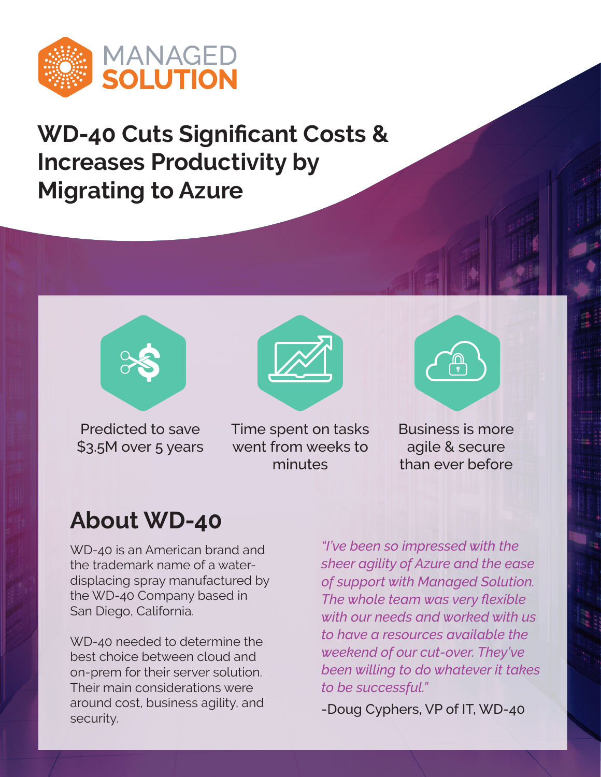

**WD-40 Cuts Significant Costs & Increases Productivity by Migrating to Azure**



Predicted to save \$3.5M over 5 years Time spent on tasks went from weeks to minutes



Business is more agile & secure than ever before

## **About WD-40**

WD-40 is an American brand and the trademark name of a waterdisplacing spray manufactured by the WD-40 Company based in San Diego, California.

WD-40 needed to determine the best choice between cloud and on-prem for their server solution. Their main considerations were around cost, business agility, and security.

*"I've been so impressed with the sheer agility of Azure and the ease of support with Managed Solution. The whole team was very flexible with our needs and worked with us to have a resources available the weekend of our cut-over. They've been willing to do whatever it takes to be successful."*

-Doug Cyphers, VP of IT, WD-40